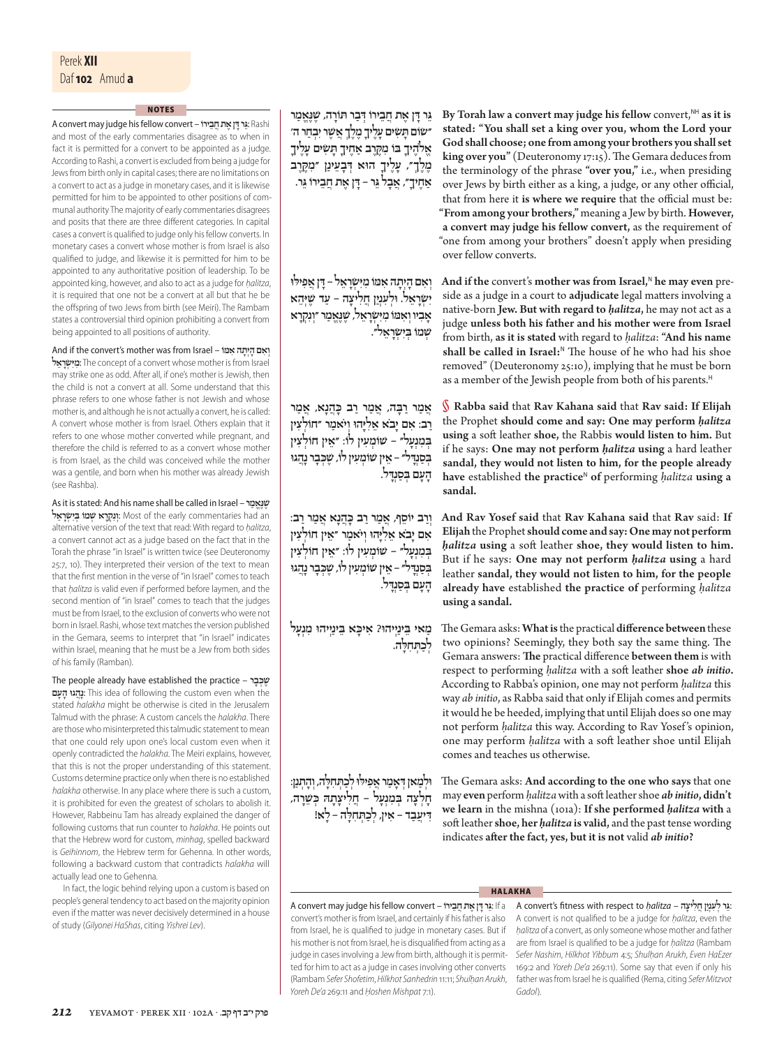# Perek **XII** Daf **102** Amud **a**

# **NOTES**

 A convert may judge his fellow convert – **בירוֵֹחֲאתֶ דןָּגרֵּ**: Rashi and most of the early commentaries disagree as to when in fact it is permitted for a convert to be appointed as a judge. According to Rashi, a convert is excluded from being a judge for Jews from birth only in capital cases; there are no limitations on a convert to act as a judge in monetary cases, and it is likewise permitted for him to be appointed to other positions of communal authority The majority of early commentaries disagrees and posits that there are three different categories. In capital cases a convert is qualified to judge only his fellow converts. In monetary cases a convert whose mother is from Israel is also qualified to judge, and likewise it is permitted for him to be appointed to any authoritative position of leadership. To be appointed king, however, and also to act as a judge for *ĥalitza*, it is required that one not be a convert at all but that he be the offspring of two Jews from birth (see Meiri). The Rambam states a controversial third opinion prohibiting a convert from being appointed to all positions of authority.

 And if the convert's mother was from Israel – **מוֹּ אִ תהָיְהָ אםִ וְ אלֵרָשְׂ יִּמִ** : The concept of a convert whose mother is from Israel may strike one as odd. After all, if one's mother is Jewish, then the child is not a convert at all. Some understand that this phrase refers to one whose father is not Jewish and whose mother is, and although he is not actually a convert, he is called: A convert whose mother is from Israel. Others explain that it refers to one whose mother converted while pregnant, and therefore the child is referred to as a convert whose mother is from Israel, as the child was conceived while the mother was a gentile, and born when his mother was already Jewish (see Rashba).

 As it is stated: And his name shall be called in Israel – **מרַאֱנֶּשֶׁ** an had commentaries early the of Most **ְ**:**וִנְקָרא ׁ ְשמוֹ ְּבִי ְׂשָרֵאל** alternative version of the text that read: With regard to *ĥalitza*, a convert cannot act as a judge based on the fact that in the Torah the phrase "in Israel" is written twice (see Deuteronomy 25:7, 10). They interpreted their version of the text to mean that the first mention in the verse of "in Israel" comes to teach that *ĥalitza* is valid even if performed before laymen, and the second mention of "in Israel" comes to teach that the judges must be from Israel, to the exclusion of converts who were not born in Israel. Rashi, whose text matches the version published in the Gemara, seems to interpret that "in Israel" indicates within Israel, meaning that he must be a Jew from both sides of his family (Ramban).

 The people already have established the practice – **ברָכּ ֶׁשְעםָהָ גוּ הֲנָ**: This idea of following the custom even when the stated *halakha* might be otherwise is cited in the Jerusalem Talmud with the phrase: A custom cancels the *halakha*. There are those who misinterpreted this talmudic statement to mean that one could rely upon one's local custom even when it openly contradicted the *halakha*. The Meiri explains, however, that this is not the proper understanding of this statement. Customs determine practice only when there is no established *halakha* otherwise. In any place where there is such a custom, it is prohibited for even the greatest of scholars to abolish it. However, Rabbeinu Tam has already explained the danger of following customs that run counter to *halakha*. He points out that the Hebrew word for custom, *minhag*, spelled backward is *Geihinnom*, the Hebrew term for Gehenna. In other words, following a backward custom that contradicts *halakha* will actually lead one to Gehenna.

In fact, the logic behind relying upon a custom is based on people's general tendency to act based on the majority opinion even if the matter was never decisively determined in a house of study (*Gilyonei HaShas*, citing *Yishrei Lev*).

**ֵּגרָּדן ֶאת ֲחֵבירוֹ ְ ּדַבר ּתָוֹרה, ֶׁשֶּנֱאַמר ׂ״שוֹם ָּת ִׂשים ָעֶל ָיך ֶמֶל ְך ֲאֶׁשר ִי ְבַחר ה׳ ֱאלֶֹה ָיך ּבוֹ ִמֶּקֶרב ַאֶח ָיך ָּת ִׂשים ָעֶל ָיך ֶמֶל ְך״, ָעֶל ָיך ּהוא ְ ּדָבֵע ַינן ִ״מֶּקֶרב ַאֶח ָיך״, ֲאָבל ֵּגר – ָּדן ֶאת ֲחֵבירוֵֹּגר.** 

**ְו ִאם ָהְיָתה ִא ּמוֹ ִמִיּ ְׂשָרֵאל – ָּדןֲא ִפ ּילּו ִי ְׂשָרֵאל. ּוְל ִעְנַין ֲח ִל ָיצה – ַעד ֶׁשְיֵּהא ָא ִביו ְו ִא ּמוֹ ִמִיּ ְׂשָרֵאל, ֶׁשֶּנֱאַמר ְ״וִנְקָרא ׁ ְשמוֹ ְּבִי ְׂשָרֵאל״.**

**ּכֲהָנא, ֲאַמר ֲאַמר ַרָּבה, ֲאַמר ַרב ָ ַרב: ִאם ָיבֹא ֵאִלָיּ ּהו ְויֹ ַאמר ְ ״חוֹל ִצין ְּב ִמְנָעל״ – ׁש ְוֹמ ִעין לוֹ: ֵ״אין ְחוֹל ִצין ּכָברָנֲה ּגו ְּבַסְנָּדל״ – ֵאין ׁש ְוֹמ ִעין לוֹ, ֶׁשְ ָהָעם ְּבַסְנָּדל.** 

**ּכֲהָנא ֲאַמרַרב: ְוַרב ֵ יוֹסף, ֲאַמרַרב ָ ִאם ָיבֹא ֵאִלָיּ ּהו ְויֹ ַאמר ֵ״אין ְחוֹל ִצין ְּב ִמְנָעל״ – ׁש ְוֹמ ִעין לוֹ: ֵ״אין ְחוֹל ִצין ּכָברָנֲה ּגו ְּבַסְנָּדל״ – ֵאין ׁש ְוֹמ ִעין לוֹ, ֶׁשְ ָהָעם ְּבַסְנָּדל.** 

**ּיכא ֵּב ַינְי ּ יהו ִמְנָעל ַמאי ֵּב ַינְי ּ יהו? ִא ָ ְלַכ ְּת ִחָּלה.** 

**ּלה, ְוָה ְתַנן: ּוְלַמאן ְ ּדָאַמרֲא ִפ ּילּו ְלַכ ְּת ִחָ ּכ ֵׁשָרה, ָח ְלָצה ְּב ִמְנָעל – ֲח ִל ָיצָת ּה ְ ּלה – ָלא! ִ ּד ֲיעַבד – ִאין, ְלַכ ְּת ִחָ**

By Torah law a convert may judge his fellow  $\operatorname{convert,}^{\operatorname{NH}}$  as it is **stated: "You shall set a king over you, whom the Lord your God shall choose; one from among your brothers you shall set**  king over you" (Deuteronomy 17:15). The Gemara deduces from the terminology of the phrase **"over you,"** i.e., when presiding over Jews by birth either as a king, a judge, or any other official, that from here it is where we require that the official must be: **"From among your brothers,"** meaning a Jew by birth. **However, a convert may judge his fellow convert,** as the requirement of "one from among your brothers" doesn't apply when presiding over fellow converts.

And if the convert's mother was from Israel,<sup>N</sup> he may even preside as a judge in a court to *adjudicate* legal matters involving a native-born **Jew. But with regard to** *ĥalitza***,** he may not act as a judge **unless both his father and his mother were from Israel**  from birth, **as it is stated** with regard to *ĥalitza*: **"And his name**  shall be called in Israel:<sup>N</sup> The house of he who had his shoe removed" (Deuteronomy 25:10), implying that he must be born as a member of the Jewish people from both of his parents.<sup>H</sup>

§ **Rabba said** that **Rav Kahana said** that **Rav said: If Elijah**  the Prophet **should come and say: One may perform** *ĥalitza* **using** a soft leather **shoe,** the Rabbis **would listen to him.** But if he says: **One may not perform** *ĥalitza* **using** a hard leather **sandal, they would not listen to him, for the people already have** established **the practice**<sup>N</sup>**of** performing *ĥalitza* **using a sandal.**

**And Rav Yosef said** that **Rav Kahana said** that **Rav** said: **If Elijah** the Prophet**should come and say: One may not perform**  *ĥalitza* **using** a soft leather **shoe, they would listen to him.**  But if he says: **One may not perform** *ĥalitza* **using** a hard leather **sandal, they would not listen to him, for the people already have** established **the practice of** performing *ĥalitza* **using a sandal.**

The Gemara asks: What is the practical difference between these two opinions? Seemingly, they both say the same thing. The Gemara answers: The practical difference between them is with respect to performing *ĥalitza* with a soft leather **shoe** *ab initio***.**  According to Rabba's opinion, one may not perform *ĥalitza* this way *ab initio*, as Rabba said that only if Elijah comes and permits itwould he be heeded, implying that until Elijah does so one may not perform *ĥalitza* this way. According to Rav Yosef's opinion, one may perform *ĥalitza* with a soft leather shoe until Elijah comes and teaches us otherwise.

The Gemara asks: And according to the one who says that one may **even** perform *ĥalitza*with a soft leather shoe *ab initio***, didn't we learn** in the mishna (101a): If she performed *halitza* with a soft leather **shoe, her** *ĥalitza* **is valid,** and the past tense wording indicates **aft er the fact, yes, but it is not** valid *ab initio***?**

#### **HALAKHA**

 A convert may judge his fellow convert – **בירוֵֹחֲאתֶ דןָּגרֵּ**: If a convert's mother is from Israel, and certainly if his father is also from Israel, he is qualified to judge in monetary cases. But if his mother is not from Israel, he is disqualified from acting as a judge in cases involving a Jew from birth, although it is permitted for him to act as a judge in cases involving other converts (Rambam *Sefer Shofetim*, *Hilkhot Sanhedrin* 11:11; *Shulĥan Arukh*, *Yoreh De'a* 269:11 and *Ĥoshen Mishpat* 7:1).

**ֵּ**:**גר ְל ִעְנַין ֲחִל ָיצה** – *ĥalitza* to respect with fitness s'convert A A convert is not qualified to be a judge for *ĥalitza*, even the *ĥalitza* of a convert, as only someone whose mother and father are from Israel is qualified to be a judge for *ĥalitza* (Rambam *Sefer Nashim*, *Hilkhot Yibbum* 4:5; *Shulĥan Arukh*, *Even HaEzer* 169:2 and *Yoreh De'a* 269:11). Some say that even if only his father was from Israel he is qualified (Rema, citing *Sefer Mitzvot Gadol*).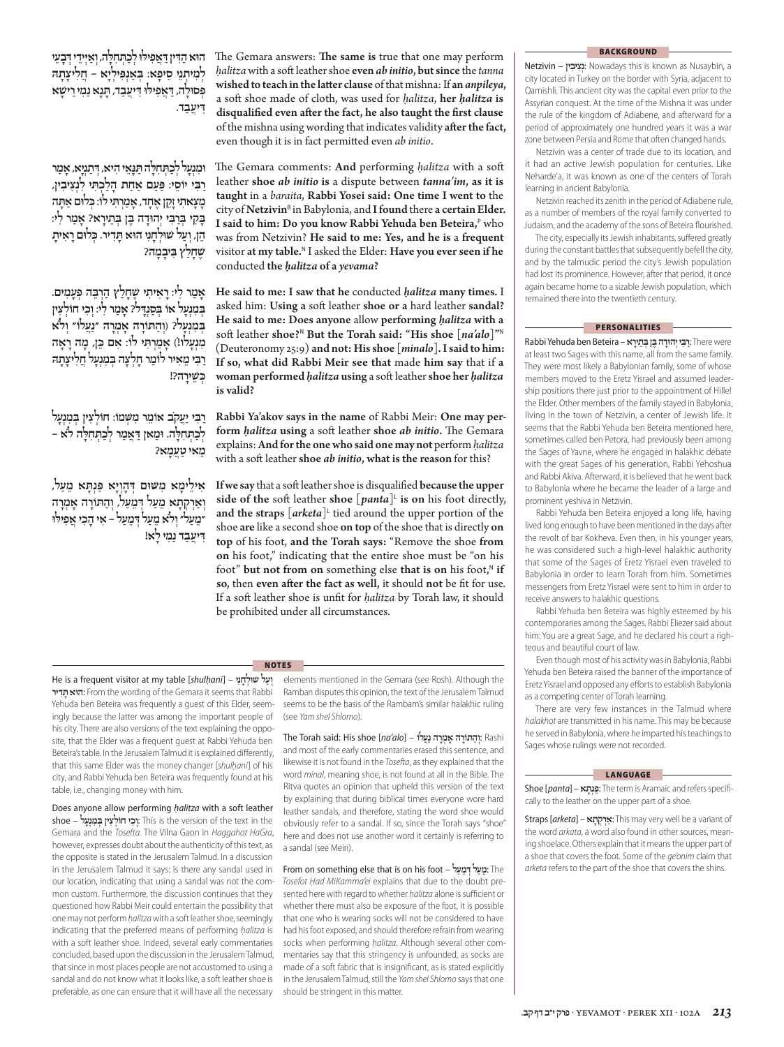**ּלה, ְוַאְיּ ֵידי ְ ּדָבֵעי ּהוא ַהִ ּדיןַּדֲא ִפ ּילּו ְלַכ ְּת ִחָ ְל ִמ ְיתֵני ֵס ָיפא: ְּבַאְנִּפ ְילָיא – ֲח ִל ָיצָת ּה ְּפ ּסוָלה, ַּדֲא ִפ ּילּו ִ ּד ֲיעַבד, ָּתָנא ַנִמיֵר ָׁ ישא ִ ּד ֲיעַבד.**

**ּו ִמְנָעל ְלַכ ְּת ִחָּלה ַּתָּנֵאי ִהיא, ְ ּדַתְנָיא, ָאַמר ַרִּבי ֵ יוֹסי: ַּפַעם ַאַחת ָהַל ְכ ִּתי ִלְנִצ ִיבין, ּכ ּלום ַא ָּתה ָמָצ ִאתיָזֵקן ֶאָחד, ָאַמְרִּתי לוֹ: ְ ָּב ִקי ְּבַרִּבי ְי ּהוָדה ֶּבן ְּבֵתָירא? ָאַמר ִלי: ּכ ּלוםָרִא ָית ֵהן, ְוַעל ׁשּוְלָחִני ּהוא ָּתִדיר. ְ ֶׁשָחַלץ ִּב ָיבָמה?** 

**ָאַמר ִלי: ָרִא ִיתי ֶׁשָחַלץ ַהְרֵּבה ְּפָע ִמים. ְּב ִמְנָעל אוֹ ְּבַסְנָּדל? ָאַמר ִלי: ְו ִכי ְחוֹל ִצין ְּב ִמְנָעל? (ְוַה ּתָוֹרה ָא ְמָרה ַ״נֲעלוֹ״ ְולֹא ּכן, ָמה ָרָאה ִמְנָעלו!ֹ) ָאַמְרִּתי לוֹ: ִאם ֵ ַרִּבי ֵמ ִאיר ַלוֹמר ָח ְלָצה ְּב ִמְנָעל ֲח ִל ָיצָת ּה ּכֵׁשָירה?! ְ**

**ַרִּבי ַיֲעקֹב ֵאוֹמר ִמְּׁשמוֹ: ְחוֹל ִצין ְּב ִמְנָעל ְלַכ ְּת ִחָּלה. ּוַמאן ַּדֲאַמר ְלַכ ְּת ִחָּלה לֹא – ַמאי ַטֲעָמא?** 

**ִא ֵיל ָימא ִמּׁשּום ְ ּדָהְוָיא ַּפ ְנ ָּתא ֵמַעל, ְוַאְרְקָתא ֵמַעל ְ ּדֵמַעל, ְוַה ּתָוֹרה ָא ְמָרה ֵ״מַעל״ ְולֹא ֵמַעל ְ ּדֵמַעל – ִאי ָה ִכי ֲא ִפ ּילּו ִ ּד ֲיעַבד ַנִמי ָלא!** 

The Gemara answers: The same is true that one may perform *ĥalitza* with a soft leather shoe **even** *ab initio***, but since** the *tanna* **wished to teach in the latt er clause** of that mishna: If **an** *anpileya***,**  a soft shoe made of cloth, was used for *ĥalitza*, **her** *ĥalitza* **is disqualifi ed even aft er the fact, he also taught the fi rst clause**  of the mishna using wording that indicates validity after the fact, even though it is in fact permitted even *ab initio*.

The Gemara comments: And performing *halitza* with a soft leather **shoe** *ab initio* **is** a dispute between *tanna'im***, as it is taught** in a *baraita*, **Rabbi Yosei said: One time I went to** the city of Netzivin<sup>B</sup> in Babylonia, and I found there a certain Elder. I said to him: Do you know Rabbi Yehuda ben Beteira,<sup>P</sup> who was from Netzivin? **He said to me: Yes, and he is** a **frequent**  visitor at my table.<sup>N</sup> I asked the Elder: Have you ever seen if he conducted **the** *ĥalitza* **of a** *yevama***?**

**He said to me: I saw that he** conducted *ĥalitza* **many times.** I asked him: **Using a** soft leather **shoe or a** hard leather **sandal? He said to me: Does anyone** allow **performing** *ĥalitza* **with a**  soft leather shoe?<sup>N</sup> But the Torah said: "His shoe  $[na'alo]$ "<sup>N</sup> (Deuteronomy 25:9) and not: His shoe [*minalo*]. I said to him: **If so, what did Rabbi Meir see that** made **him say** that if **a woman performed** *ĥalitza* **using** a soft leather **shoe her** *ĥalitza* **is valid?**

**Rabbi Ya'akov says in the name** of Rabbi Meir: **One may perform** *ĥalitza* **using** a soft leather **shoe** *ab initio***.** Th e Gemara explains: **And for the one who said one may not** perform *ĥalitza* with a soft leather **shoe** *ab initio***, what is the reason** for this?

**If we say that a soft leather shoe is disqualified because the upper side of the** soft leather **shoe [***panta***]**<sup>L</sup>**is on** his foot directly, and the straps  $\lceil a \cdot \text{keta} \rceil$ <sup>L</sup> tied around the upper portion of the shoe **are** like a second shoe **on top** of the shoe that is directly **on top** of his foot, **and the Torah says:** "Remove the shoe **from on** his foot," indicating that the entire shoe must be "on his foot" **but not from on** something else **that is on** his foot, <sup>N</sup>**if so,** then **even aft er the fact as well,** it should **not** be fit for use. If a soft leather shoe is unfit for *ĥalitza* by Torah law, it should be prohibited under all circumstances.

**NOTES**

 He is a frequent visitor at my table [*shulĥani*] – **ניִחָלְוּשׁ עלַוְ דירִתָּ הואּ** : From the wording of the Gemara it seems that Rabbi Yehuda ben Beteira was frequently a guest of this Elder, seemingly because the latter was among the important people of his city. There are also versions of the text explaining the opposite, that the Elder was a frequent quest at Rabbi Yehuda ben Beteira's table. In the Jerusalem Talmud it is explained differently, that this same Elder was the money changer [*shulĥani*] of his city, and Rabbi Yehuda ben Beteira was frequently found at his table, i.e., changing money with him.

 Does anyone allow performing *ĥalitza* with a soft leather shoe – **עלָנְמִ בְּ ציןִ חוֹלְ כיִ וְ**: This is the version of the text in the Gemara and the *Tosefta.* The Vilna Gaon in *Haggahot HaGra*, however, expresses doubt about the authenticity of this text, as the opposite is stated in the Jerusalem Talmud. In a discussion in the Jerusalem Talmud it says: Is there any sandal used in our location, indicating that using a sandal was not the common custom. Furthermore, the discussion continues that they questioned how Rabbi Meir could entertain the possibility that one may not perform *halitza* with a soft leather shoe, seemingly indicating that the preferred means of performing *ĥalitza* is with a soft leather shoe. Indeed, several early commentaries concluded, based upon the discussion in the Jerusalem Talmud, that since in most places people are not accustomed to using a sandal and do not know what it looks like, a soft leather shoe is preferable, as one can ensure that it will have all the necessary

elements mentioned in the Gemara (see Rosh). Although the Ramban disputes this opinion, the text of the Jerusalem Talmud seems to be the basis of the Rambam's similar halakhic ruling (see *Yam shel Shlomo*).

 Rashi **ְ**:**וַה ּתָוֹרה ָא ְמָרה ַנֲעלוֹ** – [*alo'na* [shoe His :said Torah The and most of the early commentaries erased this sentence, and likewise it is not found in the *Tosefta*, as they explained that the word *minal*, meaning shoe, is not found at all in the Bible. The Ritva quotes an opinion that upheld this version of the text by explaining that during biblical times everyone wore hard leather sandals, and therefore, stating the word shoe would obviously refer to a sandal*.* If so, since the Torah says "shoe" here and does not use another word it certainly is referring to a sandal (see Meiri).

 From on something else that is on his foot – **עלַמֵדּ ְ עלַמֵ**: The *Tosefot Ĥad MiKamma'ei* explains that due to the doubt presented here with regard to whether *ĥalitza* alone is sufficient or whether there must also be exposure of the foot, it is possible that one who is wearing socks will not be considered to have had his foot exposed, and should therefore refrain from wearing socks when performing *ĥalitza*. Although several other commentaries say that this stringency is unfounded, as socks are made of a soft fabric that is insignificant, as is stated explicitly in the Jerusalem Talmud, still the *Yam shel Shlomo* says that one should be stringent in this matter.

#### **BACKGROUND**

 Netzivin – **יביןִ צִנְ**: Nowadays this is known as Nusaybin, a city located in Turkey on the border with Syria, adjacent to Qamishli. This ancient city was the capital even prior to the Assyrian conquest. At the time of the Mishna it was under the rule of the kingdom of Adiabene, and afterward for a period of approximately one hundred years it was a war zone between Persia and Rome that often changed hands.

Netzivin was a center of trade due to its location, and it had an active Jewish population for centuries. Like Neharde'a, it was known as one of the centers of Torah learning in ancient Babylonia.

Netzivin reached its zenith in the period of Adiabene rule, as a number of members of the royal family converted to Judaism, and the academy of the sons of Beteira flourished.

The city, especially its Jewish inhabitants, suffered greatly during the constant battles that subsequently befell the city, and by the talmudic period the city's Jewish population had lost its prominence. However, after that period, it once again became home to a sizable Jewish population, which remained there into the twentieth century.

#### **PERSONALITIES**

 were There **ַ**:**רִּבי ְי ּהוָדה ֶּבן ְּבֵתָירא** – Beteira ben Yehuda Rabbi at least two Sages with this name, all from the same family. They were most likely a Babylonian family, some of whose members moved to the Eretz Yisrael and assumed leadership positions there just prior to the appointment of Hillel the Elder. Other members of the family stayed in Babylonia, living in the town of Netzivin, a center of Jewish life. It seems that the Rabbi Yehuda ben Beteira mentioned here, sometimes called ben Petora, had previously been among the Sages of Yavne, where he engaged in halakhic debate with the great Sages of his generation, Rabbi Yehoshua and Rabbi Akiva. Afterward, it is believed that he went back to Babylonia where he became the leader of a large and prominent yeshiva in Netzivin.

Rabbi Yehuda ben Beteira enjoyed a long life, having lived long enough to have been mentioned in the days after the revolt of bar Kokheva. Even then, in his younger years, he was considered such a high-level halakhic authority that some of the Sages of Eretz Yisrael even traveled to Babylonia in order to learn Torah from him. Sometimes messengers from Eretz Yisrael were sent to him in order to receive answers to halakhic questions.

Rabbi Yehuda ben Beteira was highly esteemed by his contemporaries among the Sages. Rabbi Eliezer said about him: You are a great Sage, and he declared his court a righteous and beautiful court of law.

Even though most of his activity was in Babylonia, Rabbi Yehuda ben Beteira raised the banner of the importance of Eretz Yisrael and opposed any efforts to establish Babylonia as a competing center of Torah learning.

There are very few instances in the Talmud where *halakhot* are transmitted in his name. This may be because he served in Babylonia, where he imparted his teachings to Sages whose rulings were not recorded.

#### **LANGUAGE**

 Shoe [*panta*] – **תאָּנְפַּ** : The term is Aramaic and refers specifically to the leather on the upper part of a shoe.

 Straps [*arketa*] – **תאָקְרְאַ**: This may very well be a variant of the word *arkata*, a word also found in other sources, meaning shoelace. Others explain that it means the upper part of a shoe that covers the foot. Some of the *ge'onim* claim that *arketa* refers to the part of the shoe that covers the shins.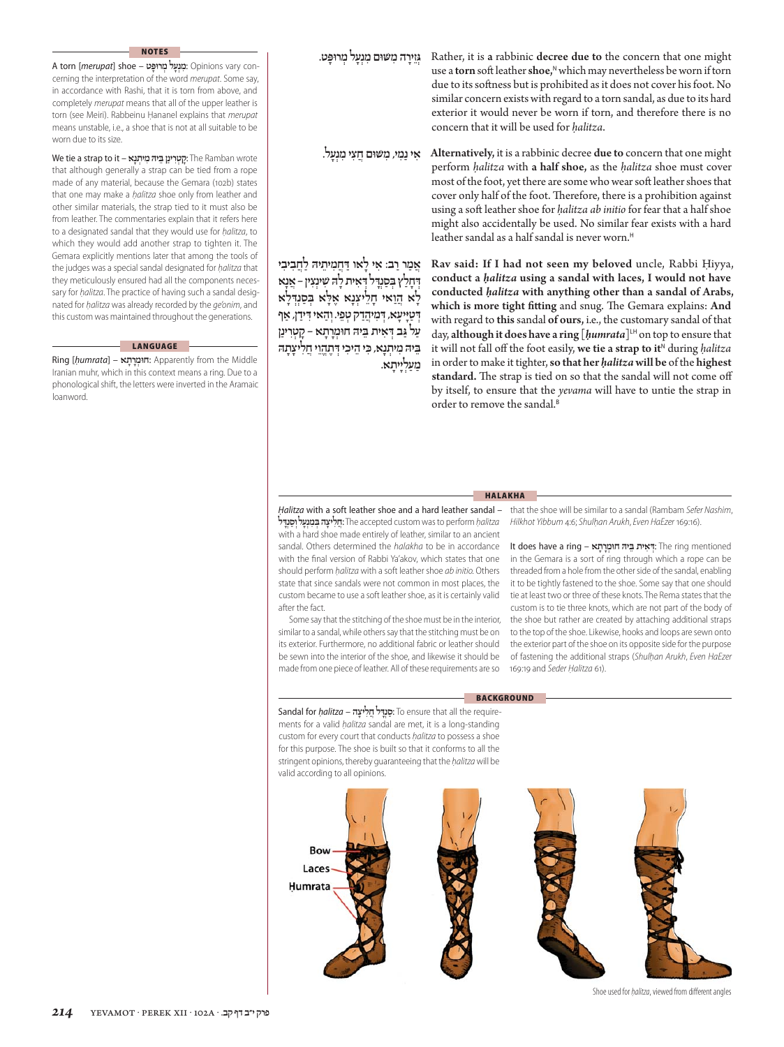## **NOTES**

 A torn [*merupat*] shoe – **פטָּרוּ מְ עלָנְמִ** : Opinions vary concerning the interpretation of the word *merupat*. Some say, in accordance with Rashi, that it is torn from above, and completely *merupat* means that all of the upper leather is torn (see Meiri). Rabbeinu Ĥananel explains that *merupat* means unstable, i.e., a shoe that is not at all suitable to be worn due to its size.

 wrote Ramban The **ָ**:**ק ְטִר ַינן ֵּב ּיה ִמ ְיתָנא** – it to strap a tie We that although generally a strap can be tied from a rope made of any material, because the Gemara (102b) states that one may make a *ĥalitza* shoe only from leather and other similar materials, the strap tied to it must also be from leather. The commentaries explain that it refers here to a designated sandal that they would use for *ĥalitza*, to which they would add another strap to tighten it. The Gemara explicitly mentions later that among the tools of the judges was a special sandal designated for *ĥalitza* that they meticulously ensured had all the components necessary for *ĥalitza*. The practice of having such a sandal designated for *ĥalitza* was already recorded by the *ge'onim*, and this custom was maintained throughout the generations.

#### **LANGUAGE**

 Ring [*ĥumrata*] – **תאָרָמְ חוּ** : Apparently from the Middle Iranian muhr, which in this context means a ring. Due to a phonological shift, the letters were inverted in the Aramaic loanword.

Rather, it is **a** rabbinic **decree due to** the concern that one might use a torn soft leather shoe,<sup>N</sup> which may nevertheless be worn if torn due to its softness but is prohibited as it does not cover his foot. No similar concern exists with regard to a torn sandal, as due to its hard exterior it would never be worn if torn, and therefore there is no concern that it will be used for *ĥalitza*. **ְּגֵזָירה ִמּׁשּום ִמְנָעל ְמ ּרוָּפט.**

**Alternatively,** it is a rabbinic decree **due to** concern that one might perform *ĥalitza* with **a half shoe,** as the *ĥalitza* shoe must cover most of the foot, yet there are some who wear soft leather shoes that cover only half of the foot. Therefore, there is a prohibition against using a soft leather shoe for *ĥalitza ab initio* for fear that a half shoe might also accidentally be used. No similar fear exists with a hard leather sandal as a half sandal is never worn.<sup>H</sup> **ִאי ַנִמי, ִמּׁשּום ֲח ִצי ִמְנָעל.**

**ֲאַמרַרב: ִאי ָלאו ַּדֲח ִמ ֵית ּיה ַלֲח ִב ִיבי ְ ּדָחַלץ ְּבַסְנָּדל ְ ּד ִאית ָל ּה ׁ ִש ְינִצין – ֲאָנא ָלא ֲהַואי ָחֵל ְיצָנא ֶאָּלא ְּבַסְנְ ּדָלא ְ ּדַטָיּ ָיעא, ְ ּד ִמ ֲיהַדק ְטֵפי. ְוַהאי ִ ּד ַידן, ַאף ַעל ַּגב ְ ּד ִאית ֵּב ּיה ּחו ְמָרָתא – ָק ְטִר ַינן ּכי ֵה ִיכי ְ ּדֶתֱהֵויֲח ִל ָיצָת ּה ֵּב ּיה ִמ ְיתָנא, ִ ַמַעְלָי ָיתא.** **Rav said: If I had not seen my beloved** uncle, Rabbi Ĥiyya, **conduct a** *ĥalitza* **using a sandal with laces, I would not have conducted** *ĥalitza* **with anything other than a sandal of Arabs,**  which is more tight fitting and snug. The Gemara explains: And with regard to **this** sandal **of ours,** i.e., the customary sandal of that day, although it does have a ring [ $humrata$ ]<sup>LH</sup> on top to ensure that it will not fall off the foot easily, we tie a strap to it<sup>N</sup> during *halitza* in order to make it tighter, **so that her** *ĥalitza* **will be** of the **highest**  standard. The strap is tied on so that the sandal will not come off by itself, to ensure that the *yevama* will have to untie the strap in order to remove the sandal.<sup>B</sup>

#### **HALAKHA**

*Ĥalitza* with a soft leather shoe and a hard leather sandal – *ĥalitza* perform to was custom accepted The **ֲ**:**חִל ָיצה ְּב ִמְנָעל ְוַסְנָּדל** with a hard shoe made entirely of leather, similar to an ancient sandal. Others determined the *halakha* to be in accordance with the final version of Rabbi Ya'akov, which states that one should perform *ĥalitza* with a soft leather shoe *ab initio.* Others state that since sandals were not common in most places, the custom became to use a soft leather shoe, as it is certainly valid after the fact.

Some say that the stitching of the shoe must be in the interior, similar to a sandal, while others say that the stitching must be on its exterior. Furthermore, no additional fabric or leather should be sewn into the interior of the shoe, and likewise it should be made from one piece of leather. All of these requirements are so

that the shoe will be similar to a sandal (Rambam *Sefer Nashim*, *Hilkhot Yibbum* 4:6; *Shulĥan Arukh*, *Even HaEzer* 169:16).

 mentioned ring The **ְ**: **ּד ִאית ֵּב ּיה ּחו ְמָרָתא** – ring a have does It in the Gemara is a sort of ring through which a rope can be threaded from a hole from the other side of the sandal, enabling it to be tightly fastened to the shoe. Some say that one should tie at least two or three of these knots. The Rema states that the custom is to tie three knots, which are not part of the body of the shoe but rather are created by attaching additional straps to the top of the shoe. Likewise, hooks and loops are sewn onto the exterior part of the shoe on its opposite side for the purpose of fastening the additional straps (*Shulĥan Arukh*, *Even HaEzer*  169:19 and *Seder Ĥalitza* 61).

**BACKGROUND**

 Sandal for *ĥalitza* – **יצהָ לִחֲ דלָּנְסַ**: To ensure that all the requirements for a valid *ĥalitza* sandal are met, it is a long-standing custom for every court that conducts *ĥalitza* to possess a shoe for this purpose. The shoe is built so that it conforms to all the stringent opinions, thereby guaranteeing that the *ĥalitza* will be valid according to all opinions.



Shoe used for *halitza*, viewed from different angles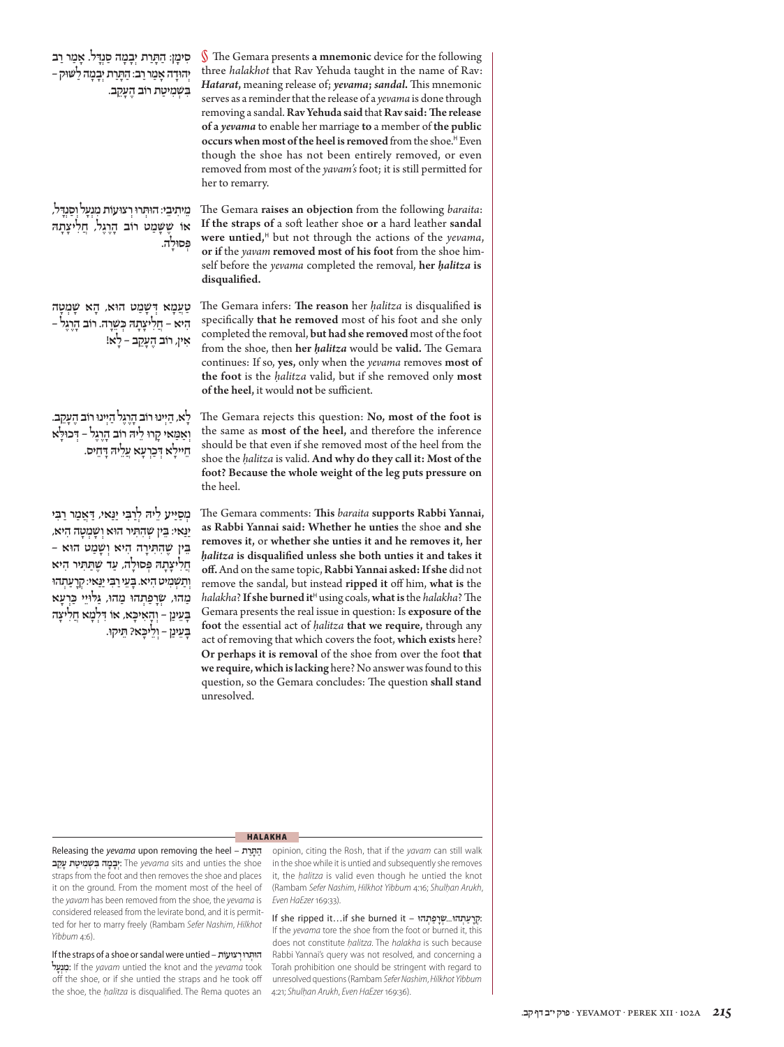| סִימָן: הַתְּרַת יְבָמָה סַנְדָל. אָמַר רַב<br>יְהוּדָה אָמַר רַב: הַתְּרַת יְבָמָה לַשּׁוּק –<br>בִּשְׁמִיטַת רוֹב הֵעֲקֵב.                                                                                                                                                                                                                                                               | $\int$ The Gemara presents a mnemonic device for the following<br>three halakhot that Rav Yehuda taught in the name of Rav:<br>Hatarat, meaning release of; yevama; sandal. This mnemonic<br>serves as a reminder that the release of a yevama is done through<br>removing a sandal. Rav Yehuda said that Rav said: The release<br>of a yevama to enable her marriage to a member of the public<br>occurs when most of the heel is removed from the shoe. <sup>H</sup> Even<br>though the shoe has not been entirely removed, or even<br>removed from most of the yavam's foot; it is still permitted for<br>her to remarry.                                                                                                                                                                                                                                                                                             |
|--------------------------------------------------------------------------------------------------------------------------------------------------------------------------------------------------------------------------------------------------------------------------------------------------------------------------------------------------------------------------------------------|--------------------------------------------------------------------------------------------------------------------------------------------------------------------------------------------------------------------------------------------------------------------------------------------------------------------------------------------------------------------------------------------------------------------------------------------------------------------------------------------------------------------------------------------------------------------------------------------------------------------------------------------------------------------------------------------------------------------------------------------------------------------------------------------------------------------------------------------------------------------------------------------------------------------------|
| מֵיתִיבֵי: הוּתְרוּ רְצוּעוֹת מִנְעָל וְסַנְדָּל,<br>אוֹ שֶׁשֲמַט רוֹב הָרֶגֶל, חֲלִיצָתָה<br>פסולה.                                                                                                                                                                                                                                                                                       | The Gemara raises an objection from the following baraita:<br>If the straps of a soft leather shoe or a hard leather sandal<br>were untied, <sup>H</sup> but not through the actions of the yevama,<br>or if the yavam removed most of his foot from the shoe him-<br>self before the yevama completed the removal, her halitza is<br>disqualified.                                                                                                                                                                                                                                                                                                                                                                                                                                                                                                                                                                      |
| טַעֲמָא דְּשָׁמַט הוּא, הָא שָׁמְטָה<br>הִיא – חֲלִיצְתָהּ כְּשֵׂרָה. רוֹב הָרֶגֶל –<br>אִין, רוֹב הֶעָקֵב – לַא!                                                                                                                                                                                                                                                                          | The Gemara infers: <b>The reason</b> her <i>ḥalitza</i> is disqualified <b>is</b><br>specifically that he removed most of his foot and she only<br>completed the removal, but had she removed most of the foot<br>from the shoe, then her halitza would be valid. The Gemara<br>continues: If so, yes, only when the yevama removes most of<br>the foot is the halitza valid, but if she removed only most<br>of the heel, it would not be sufficient.                                                                                                                                                                                                                                                                                                                                                                                                                                                                   |
| לָא, הַיְינוּ רוֹב הָרֶגֶל הַיְינוּ רוֹב הֶעָקֵב.<br>וְאַמַּאי קָרוּ לֵיהּ רוֹב הָרֶגֶל – דְּכוּלָא<br>חֵיילַא דִּכַרְעָא עֲלֵיהּ דַּחֵים.                                                                                                                                                                                                                                                 | The Gemara rejects this question: No, most of the foot is<br>the same as most of the heel, and therefore the inference<br>should be that even if she removed most of the heel from the<br>shoe the halitza is valid. And why do they call it: Most of the<br>foot? Because the whole weight of the leg puts pressure on<br>the heel.                                                                                                                                                                                                                                                                                                                                                                                                                                                                                                                                                                                     |
| מְסַיַּיע לֵיהּ לְרַבִּי יַנַּאי, דַּאֲמַר רַבִּי<br>יַנַּאי: בֵּין שְׁהִתְּיר הוּא וְשָׁמְטָה הָיא,<br>בֵּין שֶׁהָתְּירָה הָיא וְשָּׁמַט הוּא -<br>חֲלִיצָתָה פִּסוּלָה, עַד שֶׁתַּתְּיר הָיא<br>וְתַשְׁמִיט הִיא. בְּעֵי רַבִּי יַנַּאי: קְרָעַתְהוּ<br>מַהוּ, שְׂרָפַתְהוּ מַהוּ, גַּלוּיֵי כַּרְעָא<br>בָּעֵינַן – וְהָאִיכָּא, אוֹ דִּלְמָא חֲלִיצָה<br>בָּעֵינַן – וְלֵיכָא? הֵיקוּ. | The Gemara comments: This baraita supports Rabbi Yannai,<br>as Rabbi Yannai said: Whether he unties the shoe and she<br>removes it, or whether she unties it and he removes it, her<br>halitza is disqualified unless she both unties it and takes it<br>off. And on the same topic, Rabbi Yannai asked: If she did not<br>remove the sandal, but instead ripped it off him, what is the<br><i>halakha</i> ? <b>If she burned it''</b> using coals, <b>what is</b> the <i>halakha</i> ? The<br>Gemara presents the real issue in question: Is exposure of the<br>foot the essential act of <i>halitza</i> that we require, through any<br>act of removing that which covers the foot, which exists here?<br>Or perhaps it is removal of the shoe from over the foot that<br>we require, which is lacking here? No answer was found to this<br>question, so the Gemara concludes: The question shall stand<br>unresolved. |

# **HALAKHA**

 Releasing the *yevama* upon removing the heel – **רתַתָּ הַ** shoe the unties and sits *yevama* The **ְ**:**יָבָמה ִּבׁ ְשִמ ַיטת ָעֵקב** straps from the foot and then removes the shoe and places it on the ground. From the moment most of the heel of the *yavam* has been removed from the shoe, the *yevama* is considered released from the levirate bond, and it is permitted for her to marry freely (Rambam *Sefer Nashim*, *Hilkhot Yibbum* 4:6).

 If the straps of a shoe or sandal were untied – **צועוֹתּ רְרוּ תְּ הוּ עלָנְמִ** : If the *yavam* untied the knot and the *yevama* took off the shoe, or if she untied the straps and he took off the shoe, the *ĥalitza* is disqualified. The Rema quotes an 4:21; *Shulĥan Arukh*, *Even HaEzer* 169:36).

opinion, citing the Rosh, that if the *yavam* can still walk in the shoe while it is untied and subsequently she removes it, the *ĥalitza* is valid even though he untied the knot (Rambam *Sefer Nashim*, *Hilkhot Yibbum* 4:16; *Shulĥan Arukh*, *Even HaEzer* 169:33).

: **ְקָרַע ְת ּהו... ְׂשָרַפ ְת ּהו** – it burned she if…it ripped she If If the *yevama* tore the shoe from the foot or burned it, this does not constitute *ĥalitza*. The *halakha* is such because Rabbi Yannai's query was not resolved, and concerning a Torah prohibition one should be stringent with regard to unresolved questions (Rambam *Sefer Nashim*, *Hilkhot Yibbum*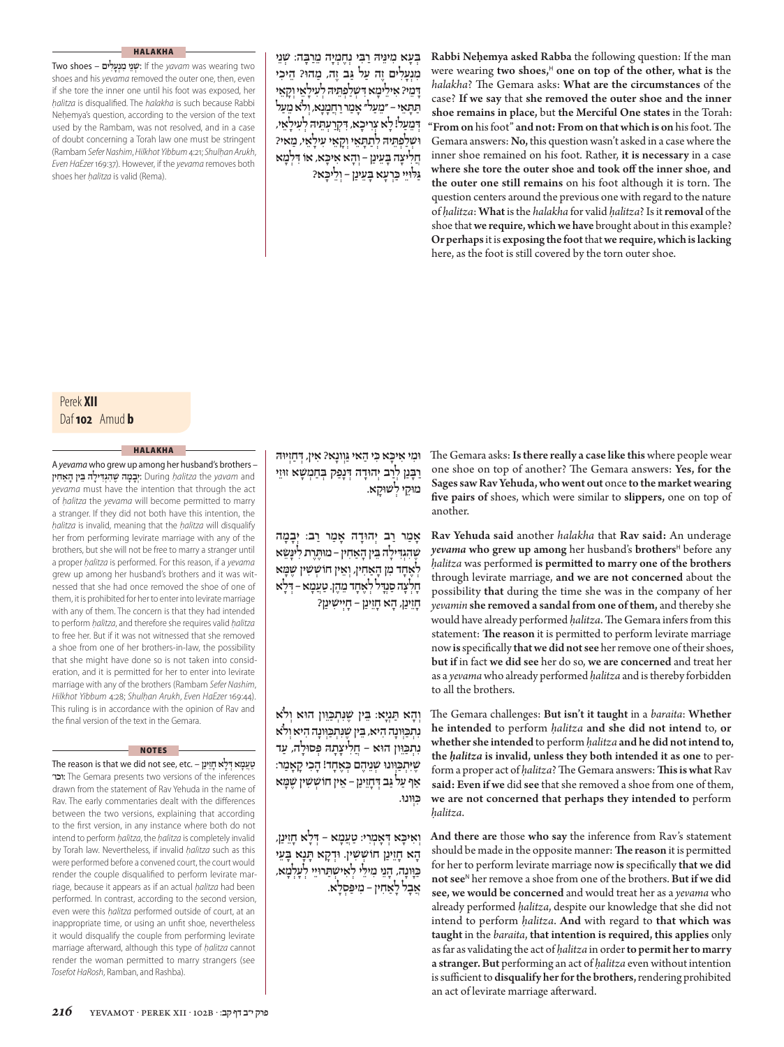# **HALAKHA**

 Two shoes – **ליםִעָנְמִ ניֵשְ ׁ** : If the *yavam* was wearing two shoes and his *yevama* removed the outer one, then, even if she tore the inner one until his foot was exposed, her *ĥalitza* is disqualified. The *halakha* is such because Rabbi Neĥemya's question, according to the version of the text used by the Rambam, was not resolved, and in a case of doubt concerning a Torah law one must be stringent (Rambam *Sefer Nashim*, *Hilkhot Yibbum* 4:21; *Shulĥan Arukh*, *Even HaEzer* 169:37). However, if the *yevama* removes both shoes her *ĥalitza* is valid (Rema).

**ְּבָעא ִמ ֵּינ ּיה ַרִּבי ְנֶח ְמָיה ֵמַרָּבה: ׁ ְשֵני ִמְנָעִלים ֶזה ַעל ַּגב ֶזה, ַמ ּהו? ֵה ִיכי ָּדֵמי? ִא ֵיל ָימא ִ ּד ׁ ְשַל ְפ ֵּת ּיה ְל ִע ָילֵאי ְוָקֵאי ַּת ָּתֵאי – ֵ״מַעל״ ָאַמרַרֲחָמָנא, ְולֹא ֵמַעל ְ ּדֵמַעל! ָלא ְצִר ָיכא, ִ ּד ְקַרְע ֵּת ּיה ְל ִע ָילֵאי, ּו ׁ ְשַל ְפ ֵּת ּיה ְלַת ָּתֵאי ְוָקֵאי ִע ָילֵאי, ַמאי? ּיכא, אוֹ ִ ּד ְלָמא ֲח ִל ָיצה ָּבֵע ַינן – ְוָהא ִא ָ ּיכא? ּכְרָעא ָּבֵע ַינן – ְוֵל ָ ַּגּלּוֵיי ַ**

**Rabbi Neĥemya asked Rabba** the following question: If the man were wearing **two shoes**,<sup>H</sup> one on top of the other, what is the *halakha*? The Gemara asks: What are the circumstances of the case? **If we say** that **she removed the outer shoe and the inner shoe remains in place,** but **the Merciful One states** in the Torah: **"From on** his foot" **and not: From on that which is on** his foot. Th e Gemara answers: **No,** this question wasn't asked in a case where the inner shoe remained on his foot. Rather, **it is necessary** in a case **where she tore the outer shoe and took off the inner shoe, and**  the outer one still remains on his foot although it is torn. The question centers around the previous one with regard to the nature of *ĥalitza*: **What** is the *halakha* for valid *ĥalitza*? Is it**removal** of the shoe that**we require, which we have** brought about in this example? **Or perhaps** it is **exposing the foot** that**we require, which is lacking**  here, as the foot is still covered by the torn outer shoe.

# Perek **XII** Daf **102** Amud **b**

#### **HALAKHA**

 A *yevama* who grew up among her husband's brothers – and *yavam* the *ĥalitza* During **ְ**:**יָבָמה ֶׁש ִהְגִ ּד ָילה ֵּבין ָהַא ִחין** *yevama* must have the intention that through the act of *ĥalitza* the *yevama* will become permitted to marry a stranger. If they did not both have this intention, the *ĥalitza* is invalid, meaning that the *ĥalitza* will disqualify her from performing levirate marriage with any of the brothers, but she will not be free to marry a stranger until a proper *ĥalitza* is performed. For this reason, if a *yevama* grew up among her husband's brothers and it was witnessed that she had once removed the shoe of one of them, it is prohibited for her to enter into levirate marriage with any of them. The concern is that they had intended to perform *ĥalitza*, and therefore she requires valid *ĥalitza* to free her. But if it was not witnessed that she removed a shoe from one of her brothers-in-law, the possibility that she might have done so is not taken into consideration, and it is permitted for her to enter into levirate marriage with any of the brothers (Rambam *Sefer Nashim*, *Hilkhot Yibbum* 4:28; *Shulĥan Arukh*, *Even HaEzer* 169:44). This ruling is in accordance with the opinion of Rav and the final version of the text in the Gemara.

# **NOTES**

 The reason is that we did not see, etc. – **ינןַ זֵחָ לאָדּ ְ מאָעֲטַ וכו׳**: The Gemara presents two versions of the inferences drawn from the statement of Rav Yehuda in the name of Rav. The early commentaries dealt with the differences between the two versions, explaining that according to the first version, in any instance where both do not intend to perform *ĥalitza*, the *ĥalitza* is completely invalid by Torah law. Nevertheless, if invalid *ĥalitza* such as this were performed before a convened court, the court would render the couple disqualified to perform levirate marriage, because it appears as if an actual *ĥalitza* had been performed. In contrast, according to the second version, even were this *ĥalitza* performed outside of court, at an inappropriate time, or using an unfit shoe, nevertheless it would disqualify the couple from performing levirate marriage afterward, although this type of *ĥalitza* cannot render the woman permitted to marry strangers (see *Tosefot HaRosh*, Ramban, and Rashba).

**ּכי ַהאי ַּגְו ָונא? ִאין, ְ ּדַחְז ּיו ּה ּיכא ִ ּו ִמי ִא ָ ַרָּבַנן ְלַרב ְי ּהוָדה ְ ּדָנַפק ְּבַח ְמָׁשא ּזוֵזי ּמוֵקי ְל ׁשּוָקא.**

**ָאַמר ַרב ְי ּהוָדה ָאַמר ַרב: ְיָבָמה ֶׁש ִהְגִ ּד ָילה ֵּבין ָהַא ִחין – ּמו ֶּתֶרת ִל ָּינֵׂשא ְלֶאָחד ִמן ָהַא ִחין, ְוֵאין ׁ ְ חוֹשׁ ִשין ֶׁשָּמא ָחְלָצה ַסְנָּדל ְלֶאָחד ֵמֶהן. ַטֲעָמא – ְ ּדָלא ָחֵז ַינן, ָהא ָחֵז ַינן – ָחְי ׁ ִ יש ַינן?** 

**ּכֵּוון ּהוא ְולֹא ּנ ְתַ ְוָהא ַּתְנָיא: ֵּבין ֶׁשִ ּכְּו ָונה ִהיאְולֹא ּנְתַ ּכְּו ָונה ִהיא, ֵּבין ֶׁשִ ִנְתַ ּכֵּוון ּהוא – ֲח ִל ָיצָת ּה ְּפ ּסוָלה, ַעד ִנ ְתַ ּכֶאָחד! ָה ִכי ָקָאַמר: ּכְּו ּ ונו ׁ ְשֵנ ֶיהם ְ ֶׁשִיּ ְתַ ַאף ַעל ַּגב ְ ּדָחֵז ַינן – ֵאין ׁ ְ חוֹשׁ ִשין ֶׁשָּמא ּכְּו ּ ונו. ִ**

**ּיכא ְ ּדָא ְמִרי: ַטֲעָמא – ְ ּדָלא ָחֵז ַינן, ְו ִא ָ ָהא ָחֵז ַינן ׁ ְ חוֹשׁ ִשין. ּוְדָקא ָּתָנא ָּבֵעי ּכָּו ָונה, ָהֵני ִמ ֵּילי ְל ִא ׁ ְ ישַּת ּרוֵיי ְלָעְלָמא, ַ ֲאָבל ָלַא ִחין – ִמ ַּיפ ְסָלא.** The Gemara asks: Is there really a case like this where people wear one shoe on top of another? The Gemara answers: Yes, for the **Sages saw Rav Yehuda, who went out** once **to the market wearing fi ve pairs of** shoes, which were similar to **slippers,** one on top of another.

**Rav Yehuda said** another *halakha* that **Rav said:** An underage *yevama* who grew up among her husband's brothers<sup>H</sup> before any *halitza* was performed is permitted to marry one of the brothers through levirate marriage, **and we are not concerned** about the possibility **that** during the time she was in the company of her *yevamin* **she removed a sandal from one of them,** and thereby she would have already performed *halitza*. The Gemara infers from this statement: The reason it is permitted to perform levirate marriage now**is** specifically **that we did not see** her remove one of their shoes, **but if** in fact **we did see** her do so, **we are concerned** and treat her as a *yevama*who already performed *ĥalitza* and is thereby forbidden to all the brothers.

The Gemara challenges: But isn't it taught in a *baraita*: Whether **he intended** to perform *ĥalitza* **and she did not intend** to, **or whether she intended** to perform *ĥalitza* **and he did not intend to, the** *ĥalitza* **is invalid, unless they both intended it as one** to perform a proper act of *halitza*? The Gemara answers: This is what Rav **said: Even if we** did **see** that she removed a shoe from one of them, **we are not concerned that perhaps they intended to** perform *ĥalitza*.

**And there are** those **who say** the inference from Rav's statement should be made in the opposite manner: The reason it is permitted for her to perform levirate marriage now **is** specifically **that we did not see**<sup>N</sup>her remove a shoe from one of the brothers. **But if we did see, we would be concerned** and would treat her as a *yevama* who already performed *ĥalitza*, despite our knowledge that she did not intend to perform *ĥalitza*. **And** with regard to **that which was taught** in the *baraita*, **that intention is required, this applies** only as far as validating the act of *ĥalitza* in order **to permit her to marry a stranger. But** performing an act of *ĥalitza* even without intention is sufficient to disqualify her for the brothers, rendering prohibited an act of levirate marriage afterward.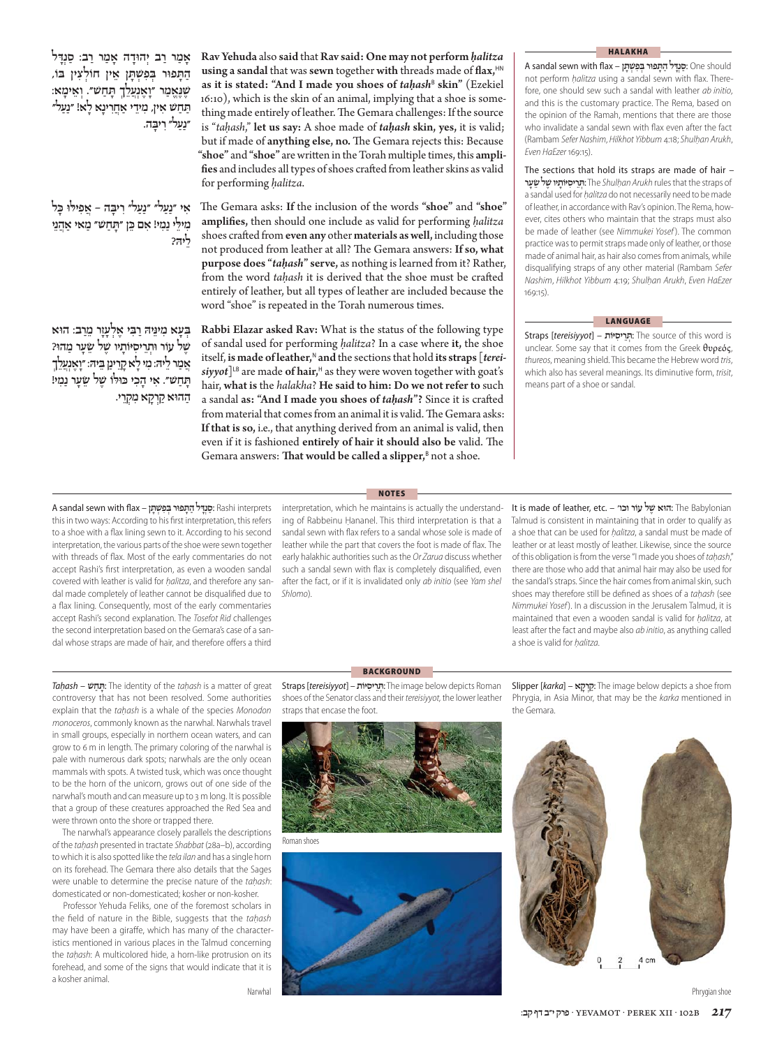**ָאַמר ַרב ְי ּהוָדה ָאַמר ַרב: ַסְנָּדל ַה ָּת ּפור ְּב ִפׁ ְש ָּתן ֵאין ְחוֹל ִצין ּבוֹ, ֶׁשֶּנֱאַמר ָ״וֶאְנֲעֵל ְך ָּתַחׁש״. ְוֵא ָימא: ַּתַחׁש ִאין, ִמ ֵידי ַאֲחִרָינא ָלא! ַ״נַעל״ ַ״נַעל״ ִר ָּיבה.** 

**ּכל ִאי ַ״נַעל״ ַ״נַעל״ ִר ָּיבה – ֲא ִפ ּילּו ָ ּכן ָּ״תַחׁש״ ַמאי ַאֲהֵני ּילי ַנִמי! ִאם ֵ ִמ ֵ ֵל ּיה?** 

**ְּבָעא ִמ ֵּינ ּיה ַרִּבי ֶאְלָעָזר ֵמַרב: ּהוא ֶׁשל עוֹר ּו ְתֵר ִיס ָ יּוֹתיו ֶׁשל ֵׂשָער ַמ ּהו? ֲאַמרֵל ּיה: ִמי ָלאָקֵר ַינן ֵּב ּיה: ָ״וֶאְנֲעֵל ְך ָּתַחׁש״. ִאי ָה ִכי ּכּו ּלוֹ ֶׁשל ֵׂשָער ַנִמי! ַה ּהוא ַקְרָקא ִמ ְקֵרי.**

**Rav Yehuda** also **said** that **Rav said: One may not perform** *ĥalitza* **using a sandal that was sewn together with threads made of flax,**  $H N$ as it is stated: "And I made you shoes of *tahash*<sup>B</sup> skin" (Ezekiel 16:10), which is the skin of an animal, implying that a shoe is something made entirely of leather. The Gemara challenges: If the source is "*taĥash*," **let us say:** A shoe made of *taĥash* **skin, yes,** it is valid; but if made of *anything else, no.* The Gemara rejects this: Because "shoe" and "shoe" are written in the Torah multiple times, this amplifies and includes all types of shoes crafted from leather skins as valid for performing *ĥalitza*.

The Gemara asks: If the inclusion of the words "shoe" and "shoe" **amplifi es,** then should one include as valid for performing *ĥalitza* shoes craft ed from **even any** other **materials as well,** including those not produced from leather at all? The Gemara answers: If so, what **purpose does "***taĥash***" serve,** as nothing is learned from it? Rather, from the word *tahash* it is derived that the shoe must be crafted entirely of leather, but all types of leather are included because the word "shoe" is repeated in the Torah numerous times.

**Rabbi Elazar asked Rav:** What is the status of the following type of sandal used for performing *ĥalitza*? In a case where **it,** the shoe itself, is made of leather,<sup>N</sup> and the sections that hold its straps [tereisiyyot]<sup>LB</sup> are made of hair,<sup>H</sup> as they were woven together with goat's hair, **what is** the *halakha*? **He said to him: Do we not refer to** such a sandal as: "And I made you shoes of *tahash*"? Since it is crafted from material that comes from an animal it is valid. The Gemara asks: **If that is so,** i.e., that anything derived from an animal is valid, then even if it is fashioned *entirely of hair it should also be valid*. The Gemara answers: That would be called a slipper,<sup>B</sup> not a shoe.

## **HALAKHA**

 should One **ַ**:**סְנָּדל ַה ָּת ּפור ְּב ִפׁ ְשָּתן** – flax with sewn sandal A not perform *ĥalitza* using a sandal sewn with flax. Therefore, one should sew such a sandal with leather *ab initio*, and this is the customary practice. The Rema, based on the opinion of the Ramah, mentions that there are those who invalidate a sandal sewn with flax even after the fact (Rambam *Sefer Nashim*, *Hilkhot Yibbum* 4:18; *Shulĥan Arukh*, *Even HaEzer* 169:15).

 The sections that hold its straps are made of hair – **ערָשֵׂ שלֶׁ יּוֹתיו ָ יסִ רֵתְּ** : The *Shulĥan Arukh* rules that the straps of a sandal used for *ĥalitza* do not necessarily need to be made of leather, in accordance with Rav's opinion. The Rema, however, cites others who maintain that the straps must also be made of leather (see *Nimmukei Yosef* ). The common practice was to permit straps made only of leather, or those made of animal hair, as hair also comes from animals, while disqualifying straps of any other material (Rambam *Sefer Nashim*, *Hilkhot Yibbum* 4:19; *Shulĥan Arukh*, *Even HaEzer*  169:15).

## **LANGUAGE**

 Straps [*tereisiyyot*] – **יסיּוֹתִ רֵתְּ** : The source of this word is unclear. Some say that it comes from the Greek θυρεός, *thureos*, meaning shield. This became the Hebrew word *tris*, which also has several meanings. Its diminutive form, *trisit*, means part of a shoe or sandal.

 interprets Rashi **ַ**:**סְנָּדל ַה ָּת ּפור ְּב ִפׁ ְשָּתן** – flax with sewn sandal A this in two ways: According to his first interpretation, this refers to a shoe with a flax lining sewn to it. According to his second interpretation, the various parts of the shoe were sewn together with threads of flax. Most of the early commentaries do not accept Rashi's first interpretation, as even a wooden sandal covered with leather is valid for *ĥalitza*, and therefore any sandal made completely of leather cannot be disqualified due to a flax lining. Consequently, most of the early commentaries accept Rashi's second explanation. The *Tosefot Rid* challenges the second interpretation based on the Gemara's case of a sandal whose straps are made of hair, and therefore offers a third

#### **NOTES**

interpretation, which he maintains is actually the understanding of Rabbeinu Ĥananel. This third interpretation is that a sandal sewn with flax refers to a sandal whose sole is made of leather while the part that covers the foot is made of flax. The early halakhic authorities such as the *Or Zarua* discuss whether such a sandal sewn with flax is completely disqualified, even after the fact, or if it is invalidated only *ab initio* (see *Yam shel Shlomo*).

 It is made of leather, etc. – **וכו׳ עוֹר שלֶׁ הואּ** : The Babylonian Talmud is consistent in maintaining that in order to qualify as a shoe that can be used for *ĥalitza*, a sandal must be made of leather or at least mostly of leather. Likewise, since the source of this obligation is from the verse "I made you shoes of *taĥash*," there are those who add that animal hair may also be used for the sandal's straps. Since the hair comes from animal skin, such shoes may therefore still be defined as shoes of a *taĥash* (see *Nimmukei Yosef* ). In a discussion in the Jerusalem Talmud, it is maintained that even a wooden sandal is valid for *ĥalitza*, at least after the fact and maybe also *ab initio*, as anything called a shoe is valid for *ĥalitza*.

*Taĥash* – **שׁחַתָּ** : The identity of the *taĥash* is a matter of great controversy that has not been resolved. Some authorities explain that the *taĥash* is a whale of the species *Monodon monoceros*, commonly known as the narwhal. Narwhals travel in small groups, especially in northern ocean waters, and can grow to 6 m in length. The primary coloring of the narwhal is pale with numerous dark spots; narwhals are the only ocean mammals with spots. A twisted tusk, which was once thought to be the horn of the unicorn, grows out of one side of the narwhal's mouth and can measure up to 3 m long. It is possible that a group of these creatures approached the Red Sea and were thrown onto the shore or trapped there.

The narwhal's appearance closely parallels the descriptions of the *taĥash* presented in tractate *Shabbat* (28a–b), according to which it is also spotted like the *tela ilan* and has a single horn on its forehead. The Gemara there also details that the Sages were unable to determine the precise nature of the *taĥash*: domesticated or non-domesticated; kosher or non-kosher.

Professor Yehuda Feliks, one of the foremost scholars in the field of nature in the Bible, suggests that the *tahash* may have been a giraffe, which has many of the characteristics mentioned in various places in the Talmud concerning the *taĥash*: A multicolored hide, a horn-like protrusion on its forehead, and some of the signs that would indicate that it is a kosher animal.

Narwhal

# **BACKGROUND**

 Straps [*tereisiyyot*] – **יסיּוֹתִ רֵתְּ** : The image below depicts Roman shoes of the Senator class and their *tereisiyyot,* the lower leather straps that encase the foot.



Roman shoes



 Slipper [*karka*] – **קאָרְקַ**: The image below depicts a shoe from Phrygia, in Asia Minor, that may be the *karka* mentioned in the Gemara.

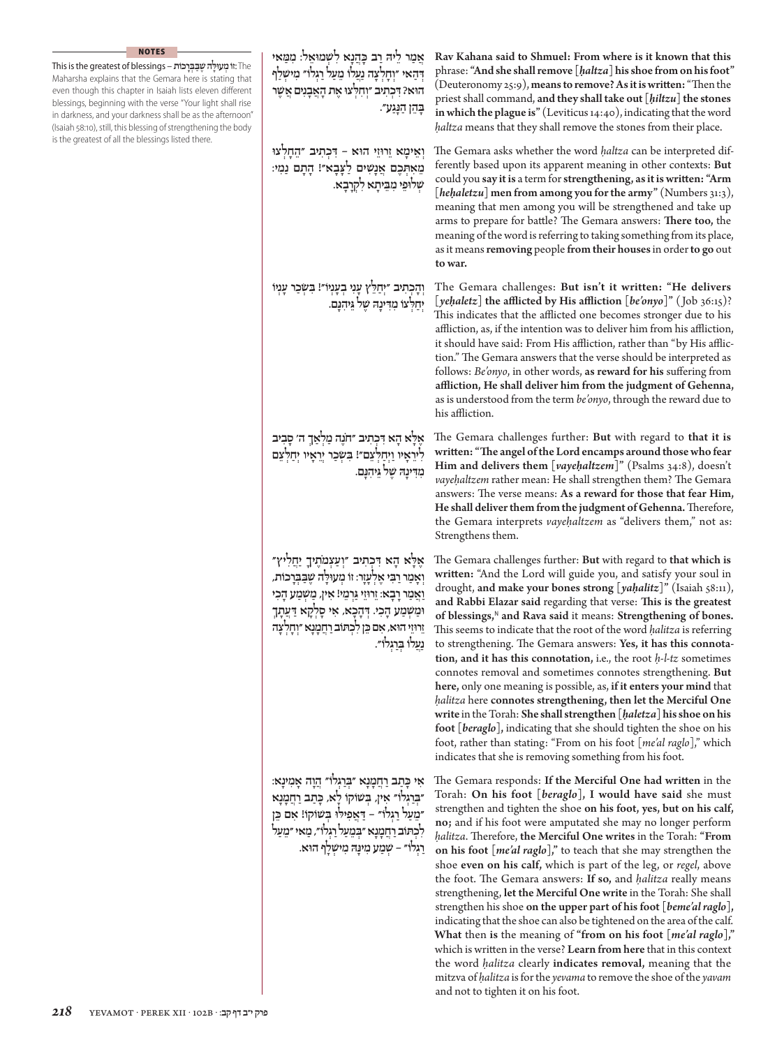| <b>NOTES</b>                                                                                                                                                                                                                                                                                                                                                                                                                                |                                                                                                                                                                                                                                                                                                             |                                                                                                                                                                                                                                                                                                                                                                                                                                                                                                                                                                                                                                                                                                                                                                                                                                                                                                                                                                                                                                                                                                        |
|---------------------------------------------------------------------------------------------------------------------------------------------------------------------------------------------------------------------------------------------------------------------------------------------------------------------------------------------------------------------------------------------------------------------------------------------|-------------------------------------------------------------------------------------------------------------------------------------------------------------------------------------------------------------------------------------------------------------------------------------------------------------|--------------------------------------------------------------------------------------------------------------------------------------------------------------------------------------------------------------------------------------------------------------------------------------------------------------------------------------------------------------------------------------------------------------------------------------------------------------------------------------------------------------------------------------------------------------------------------------------------------------------------------------------------------------------------------------------------------------------------------------------------------------------------------------------------------------------------------------------------------------------------------------------------------------------------------------------------------------------------------------------------------------------------------------------------------------------------------------------------------|
| The מְעִילֵּה שֶׁבַּבְּרָכוֹת – This is the greatest of blessings<br>Maharsha explains that the Gemara here is stating that<br>even though this chapter in Isaiah lists eleven different<br>blessings, beginning with the verse "Your light shall rise<br>in darkness, and your darkness shall be as the afternoon"<br>(Isaiah 58:10), still, this blessing of strengthening the body<br>is the greatest of all the blessings listed there. | אמר ליה רב כהנא לשמואל: ממאי<br>דְּהַאי ״וְחָלְצָה נַעֲלוֹ מֵעַל רַגְלוֹ״ מִישְׁלַף<br>הוא? דְּכְתִיב ״וְחָלְצוּ אֶת הָאֲבַנִים אֲשֵׁר<br>בָּהֵן הַנְּגַע״.                                                                                                                                                 | Rav Kahana said to Shmuel: From where is it known that this<br>phrase: "And she shall remove [ <i>ḥaltza</i> ] his shoe from on his foot"<br>(Deuteronomy 25:9), means to remove? As it is written: "Then the<br>priest shall command, and they shall take out [hiltzu] the stones<br>in which the plague is" (Leviticus $14:40$ ), indicating that the word<br>haltza means that they shall remove the stones from their place.                                                                                                                                                                                                                                                                                                                                                                                                                                                                                                                                                                                                                                                                       |
|                                                                                                                                                                                                                                                                                                                                                                                                                                             | וְאֵימָא זֵרוּזֵי הוּא – דְּכְתִיב ״הֱחָלְצוּ<br>מֵאִתְּכֶם אֲנָשִׁים לַעֲבָא״! הָתָם נַמְי:<br>שְלוּפֵי מִבֵּיתַא לִקְרַבָּא.                                                                                                                                                                              | The Gemara asks whether the word haltza can be interpreted dif-<br>ferently based upon its apparent meaning in other contexts: But<br>could you say it is a term for strengthening, as it is written: "Arm<br>[hehaletzu] men from among you for the army" (Numbers 31:3),<br>meaning that men among you will be strengthened and take up<br>arms to prepare for battle? The Gemara answers: There too, the<br>meaning of the word is referring to taking something from its place,<br>as it means removing people from their houses in order to go out<br>to war.                                                                                                                                                                                                                                                                                                                                                                                                                                                                                                                                     |
|                                                                                                                                                                                                                                                                                                                                                                                                                                             | וְהָכְתִיב ״יְחַלֵּץ עָנִי בְעָנְיוֹ״! בִּשְׂכַר עָנְיוֹ<br>יְחַלְּצוֹ מְדִינַהּ שֵׁל גֵּיהִנֵּם.                                                                                                                                                                                                           | The Gemara challenges: But isn't it written: "He delivers<br>[ <i>yehaletz</i> ] the afflicted by His affliction $[be'onyo]$ " (Job 36:15)?<br>This indicates that the afflicted one becomes stronger due to his<br>affliction, as, if the intention was to deliver him from his affliction,<br>it should have said: From His affliction, rather than "by His afflic-<br>tion." The Gemara answers that the verse should be interpreted as<br>follows: Be'onyo, in other words, as reward for his suffering from<br>affliction, He shall deliver him from the judgment of Gehenna,<br>as is understood from the term be'onyo, through the reward due to<br>his affliction.                                                                                                                                                                                                                                                                                                                                                                                                                             |
|                                                                                                                                                                                                                                                                                                                                                                                                                                             | אֶלָּא הָא דִּכְתִיב ״חֹנֶה מַלְאַךָ ה׳ סָבִיב<br>לִירֵאָיו וַיִּחַלְצֵם״! בִּשְּׂכֵר יֵרָאָיו יִחַלְצֵם<br>מדינה של גיהנם.                                                                                                                                                                                 | The Gemara challenges further: But with regard to that it is<br>written: "The angel of the Lord encamps around those who fear<br>Him and delivers them $[ vayehaltzem]$ " ( $\text{Psalms } 34:8$ ), doesn't<br>vayehaltzem rather mean: He shall strengthen them? The Gemara<br>answers: The verse means: As a reward for those that fear Him,<br>He shall deliver them from the judgment of Gehenna. Therefore,<br>the Gemara interprets vayehaltzem as "delivers them," not as:<br>Strengthens them.                                                                                                                                                                                                                                                                                                                                                                                                                                                                                                                                                                                                |
|                                                                                                                                                                                                                                                                                                                                                                                                                                             | אלא הַא דִּכְתִיב "וְעַצְמֹתֵיךָ יַחֲלִיץ"<br>וְאֲמַר רַבִּי אֵלְעֲזֵר: זוֹ מְעוּלַה שֶׁבַּבְרַכוֹת,<br>וַאֲמַר רָבָא: זֵרוּזֵי גַּרְמֵי! אִין, מַשְּׂמַע <mark>הָכִי</mark><br>וּמַשְׁמַע הָכִי. דְּהָבָא, אִי סָלְקָא דַּעֲתָךָ<br>זֵרוּזֵי הוּא, אִם כֵּן לִכְתּוּב רַחֲמָנָא ״וְחָלִצָה<br>נעלו ברגלו״. | The Gemara challenges further: But with regard to that which is<br>written: "And the Lord will guide you, and satisfy your soul in<br>drought, and make your bones strong [yahalitz]" (Isaiah 58:11),<br>and Rabbi Elazar said regarding that verse: This is the greatest<br>of blessings, <sup>N</sup> and Rava said it means: Strengthening of bones.<br>This seems to indicate that the root of the word halitza is referring<br>to strengthening. The Gemara answers: Yes, it has this connota-<br>tion, and it has this connotation, i.e., the root $h$ -l-tz sometimes<br>connotes removal and sometimes connotes strengthening. But<br>here, only one meaning is possible, as, if it enters your mind that<br>halitza here connotes strengthening, then let the Merciful One<br>write in the Torah: She shall strengthen [haletza] his shoe on his<br>foot [beraglo], indicating that she should tighten the shoe on his<br>foot, rather than stating: "From on his foot [me'al raglo]," which<br>indicates that she is removing something from his foot.                                       |
|                                                                                                                                                                                                                                                                                                                                                                                                                                             | אִי כַּתַב רַחֲמָנָא ״בִּיַגְלוֹ״ הֲוָה אָמִינָא:<br>״ִבְּרַגְלוּ״ אִין, בְּשׁוֹקוֹ לָא, כָּתַב רַחֲמֶנָא<br>"מֲעַל וַגְלוֹ" – דַאֲפִילוּ בְּשׁוֹקוֹ! אִם כֵּן<br>לְכְתּוּב רַחֲמָנָא ״בְּמֵעַל רַגְלוּ״, מַאי ״מֵעַל<br>רַגְלוֹ״ – שָׁמַע מִינַּה מִישָׁלַף הוּא.                                          | The Gemara responds: If the Merciful One had written in the<br>Torah: On his foot [beraglo], I would have said she must<br>strengthen and tighten the shoe on his foot, yes, but on his calf,<br>no; and if his foot were amputated she may no longer perform<br>halitza. Therefore, the Merciful One writes in the Torah: "From<br>on his foot [me'al raglo]," to teach that she may strengthen the<br>shoe even on his calf, which is part of the leg, or regel, above<br>the foot. The Gemara answers: If so, and <i>halitza</i> really means<br>strengthening, let the Merciful One write in the Torah: She shall<br>strengthen his shoe on the upper part of his foot [beme'al raglo],<br>indicating that the shoe can also be tightened on the area of the calf.<br>What then is the meaning of "from on his foot $[me'al\,raglo]$ ,"<br>which is written in the verse? Learn from here that in this context<br>the word <i>halitza</i> clearly indicates removal, meaning that the<br>mitzva of halitza is for the yevama to remove the shoe of the yavam<br>and not to tighten it on his foot. |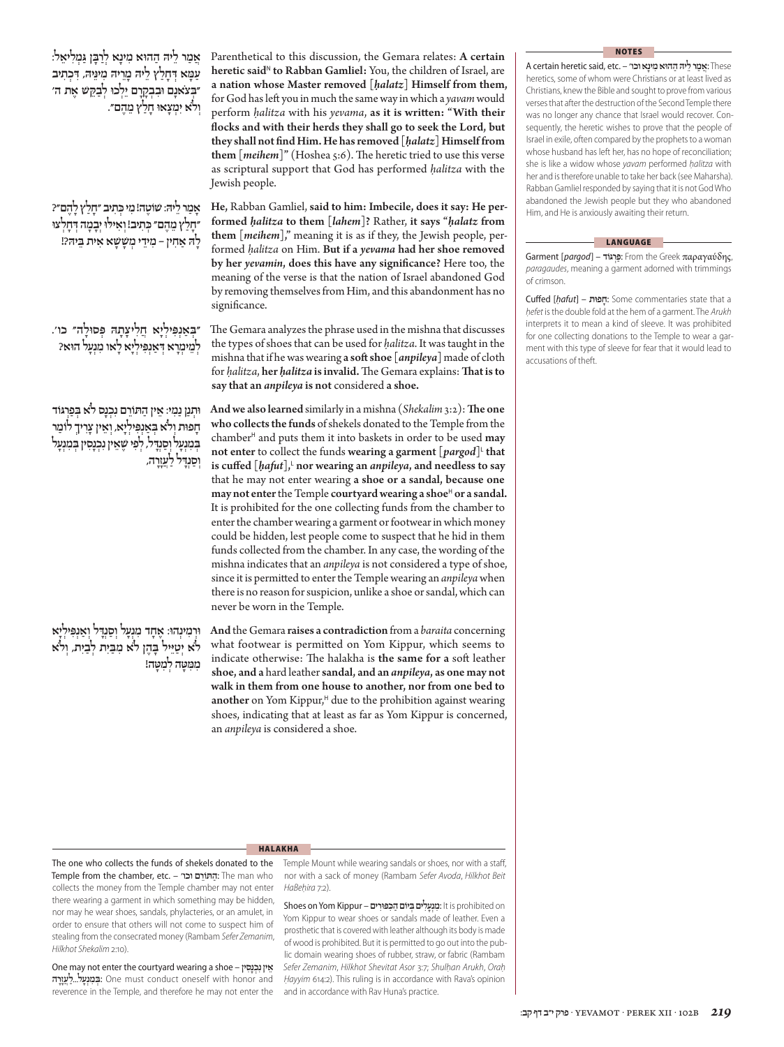| אֲמַר לֵיהּ הַהוּא מִינָא לְרַבָּן גַּמְלִיאֵל:<br>עַמָּא דְּחָלַץ לֵיהּ מֲרֵיהּ מִיְנֵּיהּ, דְּכְתִיב<br>״ִבְצֹאנָם וּבִבְקָרָם יֵלְכוּ לְבַקֵּשׁ אֶת ה׳<br>וְלֹא יִמְצָאוּ חָלֵץ מֵהֶם״.         | Parenthetical to this discussion, the Gemara relates: A certain<br>heretic said <sup>N</sup> to Rabban Gamliel: You, the children of Israel, are<br>a nation whose Master removed [halatz] Himself from them,<br>for God has left you in much the same way in which a yavam would<br>perform halitza with his yevama, as it is written: "With their<br>flocks and with their herds they shall go to seek the Lord, but<br>they shall not find Him. He has removed [halatz] Himself from<br>them $[meihem]$ " (Hoshea 5:6). The heretic tried to use this verse<br>as scriptural support that God has performed halitza with the<br>Jewish people.                                                                                                                                                                                                                                                                                                                                                                                      |
|----------------------------------------------------------------------------------------------------------------------------------------------------------------------------------------------------|----------------------------------------------------------------------------------------------------------------------------------------------------------------------------------------------------------------------------------------------------------------------------------------------------------------------------------------------------------------------------------------------------------------------------------------------------------------------------------------------------------------------------------------------------------------------------------------------------------------------------------------------------------------------------------------------------------------------------------------------------------------------------------------------------------------------------------------------------------------------------------------------------------------------------------------------------------------------------------------------------------------------------------------|
| אָמַר לֵיהּ: שׁוֹטֶה! מִי כְּתִיב ״חָלַץ לָהֶם״?<br>״חַלַץ מֵהֶם״ כִּתִּיב! וְאִילוּ יִבְמָה דְּחָלִצוּ<br>לָה אַחִין – מְיֵדֵי מְשָׁשָׁא אִית בֵּיְהֹ?!                                           | He, Rabban Gamliel, said to him: Imbecile, does it say: He per-<br>formed halitza to them [lahem]? Rather, it says "halatz from<br>them [meihem]," meaning it is as if they, the Jewish people, per-<br>formed halitza on Him. But if a yevama had her shoe removed<br>by her yevamin, does this have any significance? Here too, the<br>meaning of the verse is that the nation of Israel abandoned God<br>by removing themselves from Him, and this abandonment has no<br>significance.                                                                                                                                                                                                                                                                                                                                                                                                                                                                                                                                              |
| ״ִבְּאַנְפִּילְיָא חֲלִיצָתָה פְּסוּלָה״ כו׳.<br>קְמֵימְרָא דְּאַנְפִּילְיָא לָאו מִנְעָל הוּא?                                                                                                    | The Gemara analyzes the phrase used in the mishna that discusses<br>the types of shoes that can be used for halitza. It was taught in the<br>mishna that if he was wearing a soft shoe [anpileya] made of cloth<br>for halitza, her halitza is invalid. The Gemara explains: That is to<br>say that an <i>anpileya</i> is not considered a shoe.                                                                                                                                                                                                                                                                                                                                                                                                                                                                                                                                                                                                                                                                                       |
| וּתְנַן נַמִי: אֵין הַתּוֹרֵם נִכְנָם לֹא בִּפַּרְגּוֹד<br>חָפוּת וְלֹא בְּאַנְפִּילְיָא, וְאֵין צָרִיךָ לוֹמַר<br>במִנְעָל וְסַנְדָל, לְמִי שֶׁאֵין נִכְנָסִין בִּמְנְעָל<br>וִסְנְדַל לַעֲזֵרָה, | And we also learned similarly in a mishna (Shekalim 3:2): The one<br>who collects the funds of shekels donated to the Temple from the<br>chamber <sup>H</sup> and puts them it into baskets in order to be used may<br>not enter to collect the funds wearing a garment [pargod] <sup>1</sup> that<br>is cuffed $[ha fut]$ , nor wearing an <i>anpileya</i> , and needless to say<br>that he may not enter wearing a shoe or a sandal, because one<br>may not enter the Temple courtyard wearing a shoe <sup>H</sup> or a sandal.<br>It is prohibited for the one collecting funds from the chamber to<br>enter the chamber wearing a garment or footwear in which money<br>could be hidden, lest people come to suspect that he hid in them<br>funds collected from the chamber. In any case, the wording of the<br>mishna indicates that an anpileya is not considered a type of shoe,<br>since it is permitted to enter the Temple wearing an anpileya when<br>there is no reason for suspicion, unlike a shoe or sandal, which can |

**ּוְרִמ ְינ ּהו: ֶאָחד ִמְנָעל ְוַסְנָּדל ְוַאְנִּפ ְילָיא לֹא ְיַטֵיּיל ָּבֶהן לֹא ִמַּבִית ְלַבִית, ְולֹא ִמ ִּמ ָּטה ְל ִמ ָּטה!**

**And** the Gemara **raises a contradiction** from a *baraita* concerning what footwear is permitted on Yom Kippur, which seems to indicate otherwise: The halakha is the same for a soft leather **shoe, and a** hard leather **sandal, and an** *anpileya***, as one may not walk in them from one house to another, nor from one bed to**  another on Yom Kippur,<sup>H</sup> due to the prohibition against wearing shoes, indicating that at least as far as Yom Kippur is concerned, an *anpileya* is considered a shoe.

#### **HALAKHA**

never be worn in the Temple.

 The one who collects the funds of shekels donated to the Temple from the chamber, etc. – **וכו׳ וֹרםֵתּ הַ**: The man who collects the money from the Temple chamber may not enter there wearing a garment in which something may be hidden, nor may he wear shoes, sandals, phylacteries, or an amulet, in order to ensure that others will not come to suspect him of stealing from the consecrated money (Rambam *Sefer Zemanim*, *Hilkhot Shekalim* 2:10).

 One may not enter the courtyard wearing a shoe – **סיןִנָכְנִ איןֵ** and honor with oneself conduct must One : **ְּב ִמְנָעל...ַלֲעָזָרה** reverence in the Temple, and therefore he may not enter the Temple Mount while wearing sandals or shoes, nor with a staff, nor with a sack of money (Rambam *Sefer Avoda*, *Hilkhot Beit HaBeĥira* 7:2).

**ּכּפּוִרים** – Kippur Yom on Shoes on prohibited is It : **ִמְנָעִלים ְּביוֹם ַה ִ** Yom Kippur to wear shoes or sandals made of leather. Even a prosthetic that is covered with leather although its body is made of wood is prohibited. But it is permitted to go out into the public domain wearing shoes of rubber, straw, or fabric (Rambam *Sefer Zemanim*, *Hilkhot Shevitat Asor* 3:7; *Shulĥan Arukh*, *Oraĥ Ĥayyim* 614:2). This ruling is in accordance with Rava's opinion and in accordance with Rav Huna's practice.

### **NOTES**

 These **ֲ**:**אַמרֵל ּיה ַה ּהוא ִמ ָינא וכו׳** – .etc ,said heretic certain A heretics, some of whom were Christians or at least lived as Christians, knew the Bible and sought to prove from various verses that after the destruction of the Second Temple there was no longer any chance that Israel would recover. Consequently, the heretic wishes to prove that the people of Israel in exile, often compared by the prophets to a woman whose husband has left her, has no hope of reconciliation; she is like a widow whose *yavam* performed *ĥalitza* with her and is therefore unable to take her back (see Maharsha). Rabban Gamliel responded by saying that it is not God Who abandoned the Jewish people but they who abandoned Him, and He is anxiously awaiting their return.

## **LANGUAGE**

 Garment [*pargod*] – **גוֹדּרְפַּ** : From the Greek παραγαύδης, *paragaudes*, meaning a garment adorned with trimmings of crimson.

 Cuffed [*ĥafut*] – **פותּ חָ**: Some commentaries state that a *ĥefet* is the double fold at the hem of a garment. The *Arukh* interprets it to mean a kind of sleeve. It was prohibited for one collecting donations to the Temple to wear a garment with this type of sleeve for fear that it would lead to accusations of theft.